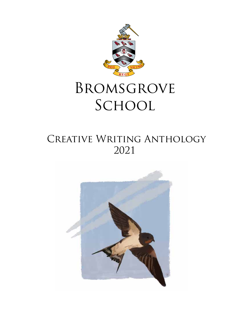

# Bromsgrove SCHOOL

## CREATIVE WRITING ANTHOLOGY 2021

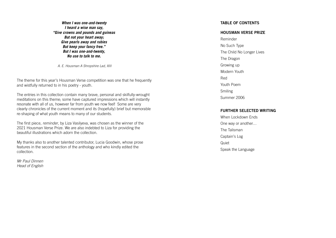**When I was one-and-twenty I heard a wise man say, "Give crowns and pounds and guineas But not your heart away; Give pearls away and rubies But keep your fancy free." But I was one-and-twenty, No use to talk to me.**

A. E. Housman A Shropshire Lad, XIII

The theme for this year's Housman Verse competition was one that he frequently and wistfully returned to in his poetry - youth.

The entries in this collection contain many brave, personal and skilfully-wrought meditations on this theme; some have captured impressions which will instantly resonate with all of us, however far from youth we now feel! Some are very clearly chronicles of the current moment and its (hopefully) brief but memorable re-shaping of what youth means to many of our students.

The first piece, reminder, by Liza Vasilyeva, was chosen as the winner of the 2021 Housman Verse Prize. We are also indebted to Liza for providing the beautiful illustrations which adorn the collection.

My thanks also to another talented contributor, Lucia Goodwin, whose prose features in the second section of the anthology and who kindly edited the collection.

Mr Paul Dinnen Head of English

#### TABLE OF CONTENTS

#### HOUSMAN VERSE PRIZE

Reminder No Such Type The Child No Longer Lives The Dragon Growing up Modern Youth Red Youth Poem Smiling Summer 2006

### FURTHER SELECTED WRITING

When Lockdown Ends One way or another… The Talisman Captain's Log Quiet Speak the Language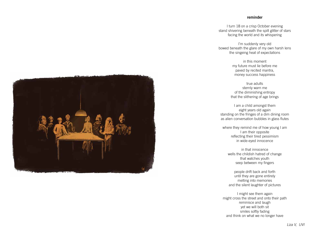#### reminder

I turn 18 on a crisp October evening stand shivering beneath the spilt glitter of stars facing the world and its whispering

I'm suddenly very old bowed beneath the glare of my own harsh lens the singeing heat of expectations

in this moment my future must lie before me paved by recited mantra, money success happiness

where they remind me of how young I am I am their opposite reflecting their tired pessimism in wide-eyed innocence

true adults sternly warn me of the diminishing entropy that the slithering of age brings

I am a child amongst them eight years old again standing on the fringes of a dim dining room as alien conversation bubbles in glass flutes

> in that innocence wells the childish hatred of change that watches youth seep between my fingers

people drift back and forth until they are gone entirely melting into memories and the silent laughter of pictures

I might see them again might cross the street and onto their path reminisce and laugh yet we will both sit smiles softly fading and think on what we no longer have



Liza V, UVI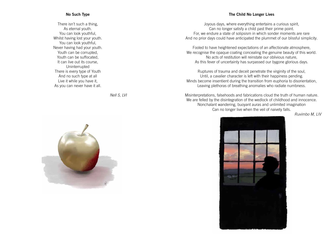### No Such Type

There isn't such a thing, As eternal youth. You can look youthful, Whilst having lost your youth. You can look youthful, Never having had your youth. Youth can be corrupted, Youth can be suffocated, It can live out its course, Uninterrupted There is every type of Youth And no such type at all Live it while you have it, As you can never have it all.

Nell S, LVI



#### The Child No Longer Lives

Joyous days, where everything entertains a curious spirit, Can no longer satisfy a child past their prime point. For, we endure a state of solipsism in which sonder moments are rare And no prior days could have anticipated the plummet of our blissful simplicity.

Fooled to have heightened expectations of an affectionate atmosphere, We recognise the opaque coating concealing the genuine beauty of this world. No acts of restitution will reinstate our oblivious nature, As this fever of uncertainty has surpassed our bygone glorious days.

Ruptures of trauma and deceit penetrate the virginity of the soul, Until, a cavalier character is left with their happiness pending. Minds become insentient during the transition from euphoria to disorientation, Leaving plethoras of breathing anomalies who radiate numbness.

Misinterpretations, falsehoods and fabrications cloud the truth of human nature. We are felled by the disintegration of the wedlock of childhood and innocence. Nonchalant wandering, buoyant auras and unlimited imagination Can no longer live when the veil of naivety falls.



Ruvimbo M, LIV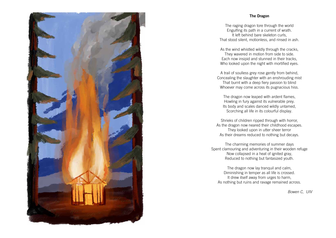### The Dragon



The raging dragon tore through the world Engulfing its path in a current of wrath. It left behind bare skeleton curls, That stood silent, motionless, and rinsed in ash.

As the wind whistled wildly through the cracks, They wavered in motion from side to side. Each now insipid and stunned in their tracks, Who looked upon the night with mortified eyes.

A trail of soulless grey rose gently from behind, Concealing the slaughter with an enshrouding mist That burnt with a deep fiery passion to blind Whoever may come across its pugnacious hiss.

The dragon now leaped with ardent flames, Howling in fury against its vulnerable prey. Its body and scales danced wildly untamed, Scorching all life in its colourful display.

Shrieks of children ripped through with horror, As the dragon now neared their childhood escapes. They looked upon in utter sheer terror As their dreams reduced to nothing but decays.

The charming memories of summer days Spent clamouring and adventuring in their wooden refuge Now collapsed in a heat of ignited gray, Reduced to nothing but fantasized youth.

The dragon now lay tranquil and calm, Diminishing in temper as all life is crossed. It drew itself away from urges to harm, As nothing but ruins and ravage remained across.

Bowen C, UIV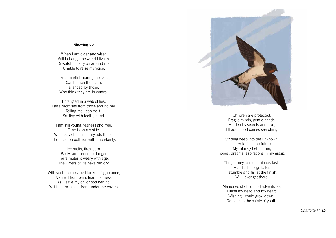#### Growing up

When I am older and wiser, Will I change the world I live in. Or watch it carry on around me, Unable to raise my voice.

Like a martlet soaring the skies, Can't touch the earth. silenced by those, Who think they are in control.

Entangled in a web of lies, False promises from those around me. Telling me I can do it , Smiling with teeth gritted.

With youth comes the blanket of ignorance, A shield from pain, fear, madness. As I leave my childhood behind, Will I be thrust out from under the covers.



I am still young, fearless and free, Time is on my side. Will I be victorious in my adulthood, The head on collision with uncertainty.

> The journey, a mountainous task, Hands flail, legs falter. I stumble and fall at the finish, Will I ever get there.

Ice melts, fires burn, Backs are turned to danger. Terra mater is weary with age, The waters of life have run dry.

Children are protected, Fragile minds, gentle hands. Hidden by secrets and love, Till adulthood comes searching.

Striding deep into the unknown, I turn to face the future. My infancy behind me, hopes, dreams, aspirations in my grasp.

Memories of childhood adventures, Filling my head and my heart. Wishing I could grow down . Go back to the safety of youth.

Charlotte H, L6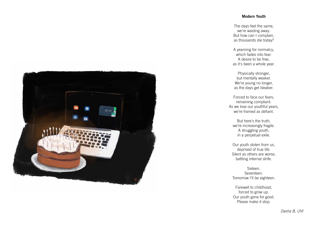### Modern Youth

we're wasting away.

The days feel the same, But how can I complain, as thousands die today?

A yearning for normalcy, which fades into fear. A desire to be free, as it's been a whole year.

Physically stronger, but mentally weaker.

We're young no longer, as the days get bleaker.

Forced to face our fears, remaining compliant. As we lose our youthful years, we're framed as defiant.

But here's the truth, we're increasingly fragile. A struggling youth, in a perpetual exile.

Our youth stolen from us, deprived of true life. Silent as others are worse, battling internal strife.

Sixteen. Seventeen. Tomorrow I'll be eighteen.

Farewell to childhood, Please make it stop.



forced to grow up. Our youth gone for good.

Dasha B, UVI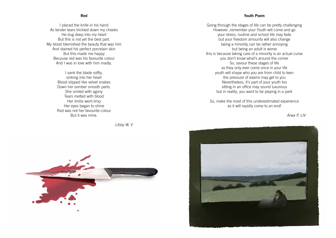Red

I placed the knife in his hand As tender tears trickled down my cheeks He dug deep into my heart But this is not yet the best part. My blood blemished the beauty that was him And stained his perfect porcelain skin But this made me happy Because red was his favourite colour And I was in love with him madly.

> I sank the blade softly, sinking into her heart Blood slipped like velvet snakes Down her somber smooth parts. She smiled with agony Tears melted with blood Her limbs went limp Her eyes began to shine Red was not her favourite colour But it was mine.

> > Libby W, V



### Youth Poem

Going through the stages of life can be pretty challenging However ,remember your Youth will come and go your stress, routine and school life may fade but your freedom amounts will also change being a minority can be rather annoying but being an adult is worse this is because taking care of a minority is an actual curse you don't know what's around the corner So, savour these stages of life as they only ever come once in your life youth will shape who you are from child to teen the pressure of exams may get to you Nevertheless, it's part of your youth too sitting in an office may sound luxurious but in reality, you want to be playing in a park

So, make the most of this underestimated experience as it will rapidly come to an end!



Arwa P, LIV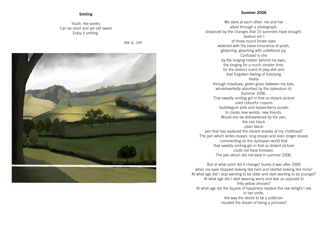### Summer 2006

We stare at each other: me and her albeit through a photograph: distanced by the changes that 15 summers have brought. Jealous am I of those round brown eyes widened with the naïve innocence of youth, glistening, gleaming with unfettered joy. Confused is she by the longing hidden behind my eyes, the longing for a much simpler time: for the distinct scent of play-doh and that forgotten feeling of frolicking -freelythrough meadows; green grass between my toes, wholeheartedly absorbed by the splendour of: Summer 2006. That sweetly smiling girl in that so distant picture used colourful crayons -bubblegum pink and boysenberry purpleto create new worlds; new friends. Would she be disheartened by the pen, the one black -plain blackpen that has replaced the vibrant shades of my childhood? commenting on the dystopian world that that sweetly smiling girl in that so distant picture could not have foreseen. The pen which did not exist in summer 2006. But at what point did it change? Surely it was after 2009 At what age did I start wearing worry and fear as opposed to

The pen which writes essays: long essays and even longer essays when my eyes stopped looking like hers and started looking like mine? At what age did I stop wanting to be older and start wanting to be younger? frilly yellow dresses? At what age did the façade of happiness replace the raw delight I see in her smile, the way the desire to be a politician clouded the dream of being a princess?

### Smiling

#### Youth, like poetry Can be short and yet still sweet Enjoy it smiling.

Nik G, UVI

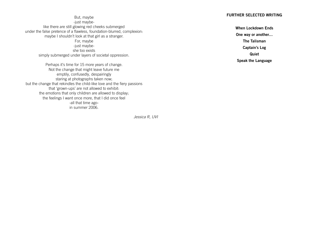| <b>FURTHER SELE</b> |
|---------------------|
|                     |
| <b>When Lock</b>    |
| One way or          |
| <b>The Tal</b>      |
| Captair             |
|                     |
| Qui                 |
| Speak the           |
|                     |

Jessica R, UVI

### ECTED WRITING

Lockdown Ends r another… alisman Captain's Log uiet Language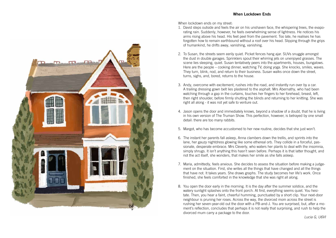

When lockdown ends on my street:

- 1. David steps outside and feels the air on his unshaven face, the whispering trees, the evaporating rain. Suddenly, however, he feels overwhelming sense of lightness. He notices his arms rising above his head. His feet peel from the pavement. Too late, he realises he has forgotten how to remain earthbound without a roof over his head. Slipping through the grips of humankind, he drifts away, vanishing, vanishing.
- 2. To Susan, the streets seem eerily quiet. Picket fences hang ajar. SUVs snuggle amongst the dust in double garages. Sprinklers spout their whirring jets on unenjoyed grasses. The scene lies sleeping, quiet. Susan tentatively peers into the apartments, houses, bungalows. Here are the people – cooking dinner, watching TV, doing yoga. She knocks, smiles, waves. They turn, blink, nod, and return to their business. Susan walks once down the street, turns, sighs, and, bored, returns to the house.
- 3. Andy, overcome with excitement, rushes into the road, and instantly run over by a car. A trailing dressing gown belt lies plastered to the asphalt. Mrs Abernathy, who had been watching through a gap in the curtains, touches her fingers to her forehead, breast, left, then right shoulder, before firmly shutting the blinds and returning to her knitting. She was right all along - it was not yet safe to venture out.
- 4. Jason opens the door and immediately knows, beyond a shadow of a doubt, that he is living in his own version of The Truman Show. This perfection, however, is betrayed by one small detail: there are too many rabbits.
- 5. Margot, who has become accustomed to her new routine, decides that she just won't.
- 6. The instant her parents fall asleep, Anna clambers down the trellis, and sprints into the lane, her gauzy nightdress glowing like some ethereal orb. They collide in a forceful, passionate, desperate embrace. Mrs Cleverly, who waters her plants to deal with the insomnia, simply shrugs. It isn't anything this hasn't seen before. Perhaps it is that latter thought, and not the act itself, she wonders, that makes her smile as she falls asleep.
- 7. Maria, admittedly, feels anxious. She decides to assess the situation before making a judgement on the situation. First, she writes all the things that have changed and all the things that have not. It takes years. She draws graphs. The study becomes her life's work. Once finished, she feels comforted in the knowledge that she was right all along.
- 8. You open the door early in the morning. It is the day after the summer solstice, and the watery sunlight splashes onto the front porch. At first, everything seems quiet. You hesitate. Then, you hear a faint, cheerful humming, punctuated by a short clip. Your next-door neighbour is pruning her roses. Across the way, the divorced mom across the street is rushing her seven-year-old out the door with a PB-and-J. You are surprised, but, after a modivorced mum carry a package to the door.

ment's reflection, concludes that perhaps it is not really that surprising, and rush to help the

Lucia G, U6VI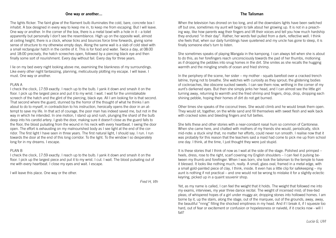### The Talisman

When the television has droned on too long, and all the downstairs lights have been switched off but one, sometimes my aunt will begin to talk about her growing up. It is not in a preaching way, like how parents wag their fingers and lift their voices and tell you how much hardship they endured "in their day". Rather, her words feel pulled from a dark, reflective well. I think she feels that, when our daily fumblings have quietened and my uncle has gone to sleep, it is finally someone else's turn to listen.

She sometimes speaks of playing Mangala in the kampong. I can always tell when she is about to do this, as her forefingers reach unconsciously towards the pad of her thumbs, motioning as if dropping the pebbles into snug homes in the dirt. She smiles as she recalls the hugging warmth and the mingling smells of ocean and fried shrimp.

In the periphery of the scene, her sister – my mother - squats barefoot over a cracked trench latrine, trying not to breathe. She watches with curiosity as they sprout; the glistening bodies of cockroaches, like obscene sucked sweets. I can see them now, writhing in the corner of my aunt's darkened eyes. But then she simply jerks her head, and I can almost see the little girl turning away, returning to warmth and the fried shrimp and fingers, drop, drop, dropping each shining pebble, hoping their homes of dirt do not get burned.

Other times she speaks of the coconut trees. She would climb and he would break them open. They would sit, together, on the white sand and fill themselves with sweet flesh and walk back with cracked soles and bleeding fingers and full bellies.

She tells these and other stories with a near-constant nasal hum so common of Cantonese. When she came here, and chatted with mothers of my friends she would, periodically, stick mid-note: a stuck vinyl that, no matter her efforts, could never run smooth. I realise now that it was probably for this reason that the teachers said a maid had come to pick me up from school one day. I think, at the time, I just thought they were just stupid.

It is these stories that I think of now as I wait at the side of the stage. Polished and primped – heels, dress, rose to the right, scarf covering my English shoulders – I can feel it pulsing between my thumb and forefinger. When I was born, she took the talisman to the temple to have it blessed. It looks like nothing much, really. A small, glass oval, framed in a metal edge, with a small gold-painted piece of clay, I think, inside. It even has a little clip for safekeeping – my aunt is nothing if not practical – and one would not be wrong to mistake it for a slightly eclectic keyring, picked up in a quaint souvenir shop.

Yet, as my name is called, I can feel the weight that it holds. The weight that followed me into my exams, interviews, my year three dance recital. The weight of incensed mist; of tree-tied pleas; of whispered hopes of a girl under muggy air, dropping stones into hollowed homes. I am borne by it, up the stairs, along the stage, out of the marquee, out of the grounds, away, away, the beautiful "nnng" filling the shocked emptiness in my head. And if I break it, if I squeeze too hard, out of fear or excitement or confusion or hopelessness or naiveté, if it cracks now - will I fall?

#### One way or another…

The lights flicker. The faint glow of the filament bulb illuminates the cold, bare, concrete box I inhabit. A box designed in every way to keep me in, to keep me from escaping. But I will leave. One way or another. In the corner of the box, there is a metal bowl with a hole in it – a toilet apparently but personally I don't see the resemblance. High up on the opposite wall, almost at ceiling height, there is a clock, whose ticks and bounces force time forwards, giving some sense of structure to my otherwise empty days. Along the same wall is a slab of cold steel with a small rectangular hatch in the centre of it. This is for food and water. Twice a day, at 08:00 and 18:00 precisely, the hatch screeches open, followed by a piercing black eye and then finally some sort of nourishment. Every day without fail. Every day for three years.

I lie on my bed every night looking above me, examining the blankness of my surroundings. Like every other night fantasizing, planning, meticulously plotting my escape. I will leave. I must. One way or another.

#### PLAN A

I check the clock, 17:59 exactly. I reach up to the bulb. I yank it down and smash it on the floor. I pick up the largest piece and put it to my wrist. I wait. I wait for the unmistakable screech of the hatch and the glint of the piercing, black eye. All I am looking for is that second. That second where the guard, stunned by the horror of the thought of what he thinks I am about to do to myself, in contradiction to his instruction, heroically opens the door in an attempt to save my life. In that act of courage, the poor man has indeed saved me, but not in the way in which he intended. In one motion, I stand up and rush, plunging the shard of the bulb deep into his carotid artery. I grab the door, making sure it doesn't close as the guard falls to the floor, the blood pulsating from the wound in his neck with every heartbeat. I swing the door open. The effort is exhausting on my malnourished body as I see light at the end of the corridor. The first light I have seen in three years. The first natural light, I should say. I run. I run towards the door at the end of this long corridor. To the light. To the window I so desperately long for in my dreams. I escape.

#### PLAN B

I check the clock, 17:59 exactly. I reach up to the bulb. I yank it down and smash it on the floor. I pick up the largest piece and put it to my wrist. I cut. I wait. The blood pulsating out of me with every heartbeat. I close my eyes and wait. I escape.

I will leave this place. One way or the other.

Fred H, Vth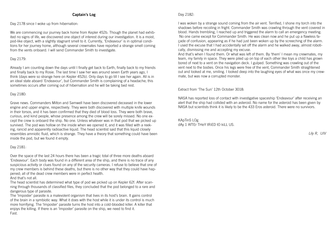Day 2182:

I was woken by a strange sound coming from the air vent. Terrified, I shone my torch into the shadows before recoiling in fright. Commander Smith was crawling through the vent covered in blood. Hands trembling, I reached up and triggered the alarm to call an emergency meeting. No one came except for Commander Smith. He was clean now and he put up a flawless façade of confusion, appearing as if he had just been woken up by the screeching of the alarm. I used the excuse that I had accidentally set off the alarm and he walked away, almost robotically, dismissing me and accepting my excuse. And that's when I found them. Or what was left of them. By 'them' I mean my crewmates, my team, my family in space. They were piled up on top of each other like toys a child has grown bored of next to a vent on the navigation deck. I gulped. Something was crawling out of the vent next to the bodies. Once his legs were free of the vent, Commander Smith straightened out and looked at me, smiling. I looked deep into the laughing eyes of what was once my crewmate, but was now a corrupted monster.

We are commencing our journey back home from Kepler 452b. Though the planet had exhibited no signs of life, we discovered one object of interest during our investigation. It is a moist, pod-like object, with a slightly stagnant smell to it. Currently, 'Endeavour' is in optimal conditions for her journey home, although several crewmates have reported a strange smell coming from the vents onboard. I will send Commander Smith to investigate.

Extract from 'The Sun' 12th October 3018:

NASA has reported loss of contact with investigative spaceship 'Endeavour' after receiving an alert that the ship had collided with an asteroid. No name for the asteroid has been given by NASA but scientists think it is likely to be the 433 Eros asteroid. There were no survivors.

KApTinS LOg dAy 1 AfTEr THeY tRiED tO kiLL US.

Lily R, UIV

### Captain's Log

Day 2178 since I woke up from hibernation:

#### Day 2179:

Already I am counting down the days until I finally get back to Earth, finally back to my friends and finally back to my Rosie. The last time I saw her was around seven Earth years ago, I think (days were so strange here on Kepler 452b). Only days to go till I see her again. All is in an ideal state aboard 'Endeavour', but Commander Smith is complaining of a headache; this sometimes occurs after coming out of hibernation and he will be taking bed rest.

#### Day 2180:

Grave news. Commanders Milton and Samwell have been discovered deceased in the lower engine and upper engine, respectively. They were both discovered with multiple knife wounds in their torsos, and it has been confirmed that they died of blood loss. They were both brave, curious, and kind people, whose presence among the crew will be sorely missed. No one except the crew is onboard the ship. No one. Unless whatever was in that pod that we picked up survived. The pod was hollow on the inside when we opened it, and it was filled with a reeking, rancid and apparently radioactive liquid. The head scientist said that this liquid closely resembles amniotic fluid, which is strange. They have a theory that something could have been inside the pod, but we found it empty.

#### Day 2181:

Over the space of the last 24 hours there has been a tragic total of three more deaths aboard 'Endeavour'. Each body was found in a different area of the ship, and there is no trace of any suspicious activity or clues found on any of the security cameras. I refuse to believe that one of my crew members is behind these deaths, but there is no other way that they could have happened; all of the dead crew members were in perfect health.

And that's not all.

The head scientist has determined what type of pod we picked up on Kepler 62f. After scanning through thousands of classified files, they concluded that the pod belonged to a rare and dangerous type of parasite.

The 'Imposter' parasite is a malevolent organism that lives in its host's brain. It gains control of the brain in a symbiotic way. What it does with the host while it is under its control is much more horrifying. The 'Imposter' parasite turns the host into a cold-blooded killer. A killer that enjoys the killing. If there is an 'Imposter' parasite on the ship, we need to find it. Fast.